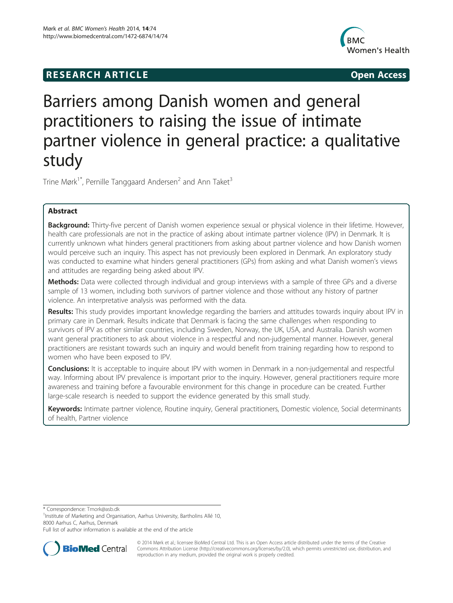# **RESEARCH ARTICLE Example 2014 12:30 The SEAR CHA RESEARCH ARTICLE**



# Barriers among Danish women and general practitioners to raising the issue of intimate partner violence in general practice: a qualitative study

Trine Mørk<sup>1\*</sup>, Pernille Tanggaard Andersen<sup>2</sup> and Ann Taket<sup>3</sup>

# Abstract

Background: Thirty-five percent of Danish women experience sexual or physical violence in their lifetime. However, health care professionals are not in the practice of asking about intimate partner violence (IPV) in Denmark. It is currently unknown what hinders general practitioners from asking about partner violence and how Danish women would perceive such an inquiry. This aspect has not previously been explored in Denmark. An exploratory study was conducted to examine what hinders general practitioners (GPs) from asking and what Danish women's views and attitudes are regarding being asked about IPV.

Methods: Data were collected through individual and group interviews with a sample of three GPs and a diverse sample of 13 women, including both survivors of partner violence and those without any history of partner violence. An interpretative analysis was performed with the data.

Results: This study provides important knowledge regarding the barriers and attitudes towards inquiry about IPV in primary care in Denmark. Results indicate that Denmark is facing the same challenges when responding to survivors of IPV as other similar countries, including Sweden, Norway, the UK, USA, and Australia. Danish women want general practitioners to ask about violence in a respectful and non-judgemental manner. However, general practitioners are resistant towards such an inquiry and would benefit from training regarding how to respond to women who have been exposed to IPV.

**Conclusions:** It is acceptable to inquire about IPV with women in Denmark in a non-judgemental and respectful way. Informing about IPV prevalence is important prior to the inquiry. However, general practitioners require more awareness and training before a favourable environment for this change in procedure can be created. Further large-scale research is needed to support the evidence generated by this small study.

Keywords: Intimate partner violence, Routine inquiry, General practitioners, Domestic violence, Social determinants of health, Partner violence

\* Correspondence: [Tmork@asb.dk](mailto:Tmork@asb.dk) <sup>1</sup>

 $1$ Institute of Marketing and Organisation, Aarhus University, Bartholins Allé 10, 8000 Aarhus C, Aarhus, Denmark

Full list of author information is available at the end of the article



© 2014 Mørk et al.; licensee BioMed Central Ltd. This is an Open Access article distributed under the terms of the Creative Commons Attribution License [\(http://creativecommons.org/licenses/by/2.0\)](http://creativecommons.org/licenses/by/2.0), which permits unrestricted use, distribution, and reproduction in any medium, provided the original work is properly credited.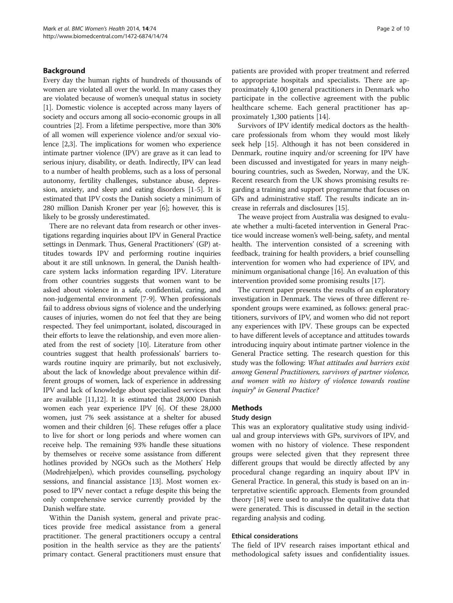## Background

Every day the human rights of hundreds of thousands of women are violated all over the world. In many cases they are violated because of women's unequal status in society [[1\]](#page-8-0). Domestic violence is accepted across many layers of society and occurs among all socio-economic groups in all countries [\[2\]](#page-8-0). From a lifetime perspective, more than 30% of all women will experience violence and/or sexual violence [\[2,3](#page-8-0)]. The implications for women who experience intimate partner violence (IPV) are grave as it can lead to serious injury, disability, or death. Indirectly, IPV can lead to a number of health problems, such as a loss of personal autonomy, fertility challenges, substance abuse, depression, anxiety, and sleep and eating disorders [[1-5\]](#page-8-0). It is estimated that IPV costs the Danish society a minimum of 280 million Danish Kroner per year [[6\]](#page-8-0); however, this is likely to be grossly underestimated.

There are no relevant data from research or other investigations regarding inquiries about IPV in General Practice settings in Denmark. Thus, General Practitioners' (GP) attitudes towards IPV and performing routine inquiries about it are still unknown. In general, the Danish healthcare system lacks information regarding IPV. Literature from other countries suggests that women want to be asked about violence in a safe, confidential, caring, and non-judgemental environment [[7-9\]](#page-8-0). When professionals fail to address obvious signs of violence and the underlying causes of injuries, women do not feel that they are being respected. They feel unimportant, isolated, discouraged in their efforts to leave the relationship, and even more alienated from the rest of society [\[10\]](#page-8-0). Literature from other countries suggest that health professionals' barriers towards routine inquiry are primarily, but not exclusively, about the lack of knowledge about prevalence within different groups of women, lack of experience in addressing IPV and lack of knowledge about specialised services that are available [\[11,12](#page-8-0)]. It is estimated that 28,000 Danish women each year experience IPV [[6\]](#page-8-0). Of these 28,000 women, just 7% seek assistance at a shelter for abused women and their children [\[6](#page-8-0)]. These refuges offer a place to live for short or long periods and where women can receive help. The remaining 93% handle these situations by themselves or receive some assistance from different hotlines provided by NGOs such as the Mothers' Help (Mødrehjælpen), which provides counselling, psychology sessions, and financial assistance [\[13\]](#page-8-0). Most women exposed to IPV never contact a refuge despite this being the only comprehensive service currently provided by the Danish welfare state.

Within the Danish system, general and private practices provide free medical assistance from a general practitioner. The general practitioners occupy a central position in the health service as they are the patients' primary contact. General practitioners must ensure that

patients are provided with proper treatment and referred to appropriate hospitals and specialists. There are approximately 4,100 general practitioners in Denmark who participate in the collective agreement with the public healthcare scheme. Each general practitioner has approximately 1,300 patients [\[14\]](#page-8-0).

Survivors of IPV identify medical doctors as the healthcare professionals from whom they would most likely seek help [\[15\]](#page-8-0). Although it has not been considered in Denmark, routine inquiry and/or screening for IPV have been discussed and investigated for years in many neighbouring countries, such as Sweden, Norway, and the UK. Recent research from the UK shows promising results regarding a training and support programme that focuses on GPs and administrative staff. The results indicate an increase in referrals and disclosures [\[15\]](#page-8-0).

The weave project from Australia was designed to evaluate whether a multi-faceted intervention in General Practice would increase women's well-being, safety, and mental health. The intervention consisted of a screening with feedback, training for health providers, a brief counselling intervention for women who had experience of IPV, and minimum organisational change [[16](#page-8-0)]. An evaluation of this intervention provided some promising results [[17](#page-8-0)].

The current paper presents the results of an exploratory investigation in Denmark. The views of three different respondent groups were examined, as follows: general practitioners, survivors of IPV, and women who did not report any experiences with IPV. These groups can be expected to have different levels of acceptance and attitudes towards introducing inquiry about intimate partner violence in the General Practice setting. The research question for this study was the following: What attitudes and barriers exist among General Practitioners, survivors of partner violence, and women with no history of violence towards routine inquiry<sup>a</sup> in General Practice?

#### Methods

#### Study design

This was an exploratory qualitative study using individual and group interviews with GPs, survivors of IPV, and women with no history of violence. These respondent groups were selected given that they represent three different groups that would be directly affected by any procedural change regarding an inquiry about IPV in General Practice. In general, this study is based on an interpretative scientific approach. Elements from grounded theory [\[18\]](#page-8-0) were used to analyse the qualitative data that were generated. This is discussed in detail in the section regarding analysis and coding.

#### Ethical considerations

The field of IPV research raises important ethical and methodological safety issues and confidentiality issues.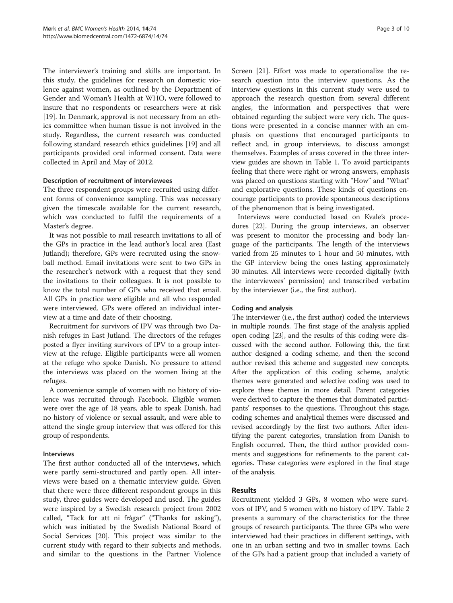The interviewer's training and skills are important. In this study, the guidelines for research on domestic violence against women, as outlined by the Department of Gender and Woman's Health at WHO, were followed to insure that no respondents or researchers were at risk [[19\]](#page-8-0). In Denmark, approval is not necessary from an ethics committee when human tissue is not involved in the study. Regardless, the current research was conducted following standard research ethics guidelines [[19\]](#page-8-0) and all participants provided oral informed consent. Data were collected in April and May of 2012.

## Description of recruitment of interviewees

The three respondent groups were recruited using different forms of convenience sampling. This was necessary given the timescale available for the current research, which was conducted to fulfil the requirements of a Master's degree.

It was not possible to mail research invitations to all of the GPs in practice in the lead author's local area (East Jutland); therefore, GPs were recruited using the snowball method. Email invitations were sent to two GPs in the researcher's network with a request that they send the invitations to their colleagues. It is not possible to know the total number of GPs who received that email. All GPs in practice were eligible and all who responded were interviewed. GPs were offered an individual interview at a time and date of their choosing.

Recruitment for survivors of IPV was through two Danish refuges in East Jutland. The directors of the refuges posted a flyer inviting survivors of IPV to a group interview at the refuge. Eligible participants were all women at the refuge who spoke Danish. No pressure to attend the interviews was placed on the women living at the refuges.

A convenience sample of women with no history of violence was recruited through Facebook. Eligible women were over the age of 18 years, able to speak Danish, had no history of violence or sexual assault, and were able to attend the single group interview that was offered for this group of respondents.

#### Interviews

The first author conducted all of the interviews, which were partly semi-structured and partly open. All interviews were based on a thematic interview guide. Given that there were three different respondent groups in this study, three guides were developed and used. The guides were inspired by a Swedish research project from 2002 called, "Tack for att ni frågar" ("Thanks for asking"), which was initiated by the Swedish National Board of Social Services [[20\]](#page-9-0). This project was similar to the current study with regard to their subjects and methods, and similar to the questions in the Partner Violence

Screen [[21\]](#page-9-0). Effort was made to operationalize the research question into the interview questions. As the interview questions in this current study were used to approach the research question from several different angles, the information and perspectives that were obtained regarding the subject were very rich. The questions were presented in a concise manner with an emphasis on questions that encouraged participants to reflect and, in group interviews, to discuss amongst themselves. Examples of areas covered in the three interview guides are shown in Table [1](#page-3-0). To avoid participants feeling that there were right or wrong answers, emphasis was placed on questions starting with "How" and "What" and explorative questions. These kinds of questions encourage participants to provide spontaneous descriptions of the phenomenon that is being investigated.

Interviews were conducted based on Kvale's procedures [[22\]](#page-9-0). During the group interviews, an observer was present to monitor the processing and body language of the participants. The length of the interviews varied from 25 minutes to 1 hour and 50 minutes, with the GP interview being the ones lasting approximately 30 minutes. All interviews were recorded digitally (with the interviewees' permission) and transcribed verbatim by the interviewer (i.e., the first author).

#### Coding and analysis

The interviewer (i.e., the first author) coded the interviews in multiple rounds. The first stage of the analysis applied open coding [\[23](#page-9-0)], and the results of this coding were discussed with the second author. Following this, the first author designed a coding scheme, and then the second author revised this scheme and suggested new concepts. After the application of this coding scheme, analytic themes were generated and selective coding was used to explore these themes in more detail. Parent categories were derived to capture the themes that dominated participants' responses to the questions. Throughout this stage, coding schemes and analytical themes were discussed and revised accordingly by the first two authors. After identifying the parent categories, translation from Danish to English occurred. Then, the third author provided comments and suggestions for refinements to the parent categories. These categories were explored in the final stage of the analysis.

# Results

Recruitment yielded 3 GPs, 8 women who were survivors of IPV, and 5 women with no history of IPV. Table [2](#page-3-0) presents a summary of the characteristics for the three groups of research participants. The three GPs who were interviewed had their practices in different settings, with one in an urban setting and two in smaller towns. Each of the GPs had a patient group that included a variety of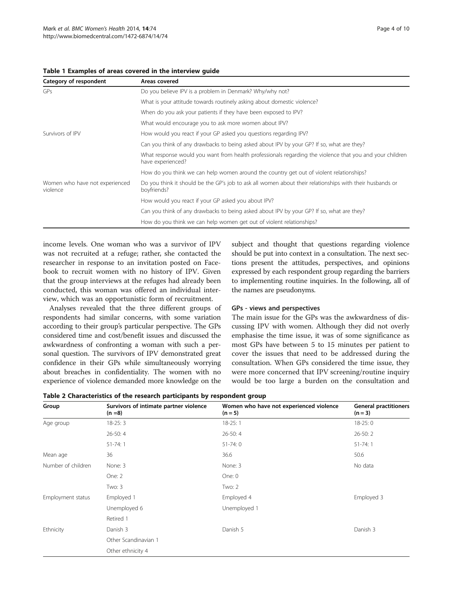<span id="page-3-0"></span>

|  |  |  | Table 1 Examples of areas covered in the interview guide |  |  |  |
|--|--|--|----------------------------------------------------------|--|--|--|
|--|--|--|----------------------------------------------------------|--|--|--|

| Category of respondent                     | Areas covered                                                                                                                 |
|--------------------------------------------|-------------------------------------------------------------------------------------------------------------------------------|
| <b>GPs</b>                                 | Do you believe IPV is a problem in Denmark? Why/why not?                                                                      |
|                                            | What is your attitude towards routinely asking about domestic violence?                                                       |
|                                            | When do you ask your patients if they have been exposed to IPV?                                                               |
|                                            | What would encourage you to ask more women about IPV?                                                                         |
| Survivors of IPV                           | How would you react if your GP asked you questions regarding IPV?                                                             |
|                                            | Can you think of any drawbacks to being asked about IPV by your GP? If so, what are they?                                     |
|                                            | What response would you want from health professionals regarding the violence that you and your children<br>have experienced? |
|                                            | How do you think we can help women around the country get out of violent relationships?                                       |
| Women who have not experienced<br>violence | Do you think it should be the GP's job to ask all women about their relationships with their husbands or<br>boyfriends?       |
|                                            | How would you react if your GP asked you about IPV?                                                                           |
|                                            | Can you think of any drawbacks to being asked about IPV by your GP? If so, what are they?                                     |
|                                            | How do you think we can help women get out of violent relationships?                                                          |

income levels. One woman who was a survivor of IPV was not recruited at a refuge; rather, she contacted the researcher in response to an invitation posted on Facebook to recruit women with no history of IPV. Given that the group interviews at the refuges had already been conducted, this woman was offered an individual interview, which was an opportunistic form of recruitment.

Analyses revealed that the three different groups of respondents had similar concerns, with some variation according to their group's particular perspective. The GPs considered time and cost/benefit issues and discussed the awkwardness of confronting a woman with such a personal question. The survivors of IPV demonstrated great confidence in their GPs while simultaneously worrying about breaches in confidentiality. The women with no experience of violence demanded more knowledge on the

subject and thought that questions regarding violence should be put into context in a consultation. The next sections present the attitudes, perspectives, and opinions expressed by each respondent group regarding the barriers to implementing routine inquiries. In the following, all of the names are pseudonyms.

#### GPs - views and perspectives

The main issue for the GPs was the awkwardness of discussing IPV with women. Although they did not overly emphasise the time issue, it was of some significance as most GPs have between 5 to 15 minutes per patient to cover the issues that need to be addressed during the consultation. When GPs considered the time issue, they were more concerned that IPV screening/routine inquiry would be too large a burden on the consultation and

Table 2 Characteristics of the research participants by respondent group

| Group              | Survivors of intimate partner violence<br>$(n = 8)$ | Women who have not experienced violence<br>$(n = 5)$ | <b>General practitioners</b><br>$(n = 3)$ |
|--------------------|-----------------------------------------------------|------------------------------------------------------|-------------------------------------------|
| Age group          | $18-25:3$                                           | $18-25:1$                                            | $18 - 25:0$                               |
|                    | 26-50:4                                             | 26-50:4                                              | $26 - 50:2$                               |
|                    | $51 - 74:1$                                         | $51 - 74:0$                                          | $51 - 74:1$                               |
| Mean age           | 36                                                  | 36.6                                                 | 50.6                                      |
| Number of children | None: 3                                             | None: 3                                              | No data                                   |
|                    | One: 2                                              | One: 0                                               |                                           |
|                    | Two: 3                                              | Two: 2                                               |                                           |
| Employment status  | Employed 1                                          | Employed 4                                           | Employed 3                                |
|                    | Unemployed 6                                        | Unemployed 1                                         |                                           |
|                    | Retired 1                                           |                                                      |                                           |
| Ethnicity          | Danish 3                                            | Danish 5                                             | Danish 3                                  |
|                    | Other Scandinavian 1                                |                                                      |                                           |
|                    | Other ethnicity 4                                   |                                                      |                                           |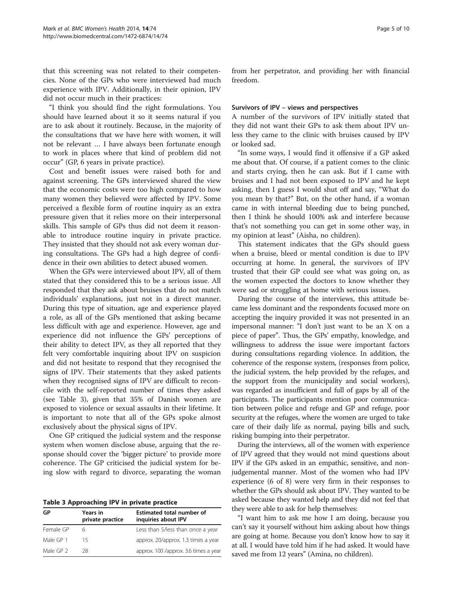that this screening was not related to their competencies. None of the GPs who were interviewed had much experience with IPV. Additionally, in their opinion, IPV did not occur much in their practices:

"I think you should find the right formulations. You should have learned about it so it seems natural if you are to ask about it routinely. Because, in the majority of the consultations that we have here with women, it will not be relevant … I have always been fortunate enough to work in places where that kind of problem did not occur" (GP, 6 years in private practice).

Cost and benefit issues were raised both for and against screening. The GPs interviewed shared the view that the economic costs were too high compared to how many women they believed were affected by IPV. Some perceived a flexible form of routine inquiry as an extra pressure given that it relies more on their interpersonal skills. This sample of GPs thus did not deem it reasonable to introduce routine inquiry in private practice. They insisted that they should not ask every woman during consultations. The GPs had a high degree of confidence in their own abilities to detect abused women.

When the GPs were interviewed about IPV, all of them stated that they considered this to be a serious issue. All responded that they ask about bruises that do not match individuals' explanations, just not in a direct manner. During this type of situation, age and experience played a role, as all of the GPs mentioned that asking became less difficult with age and experience. However, age and experience did not influence the GPs' perceptions of their ability to detect IPV, as they all reported that they felt very comfortable inquiring about IPV on suspicion and did not hesitate to respond that they recognised the signs of IPV. Their statements that they asked patients when they recognised signs of IPV are difficult to reconcile with the self-reported number of times they asked (see Table 3), given that 35% of Danish women are exposed to violence or sexual assaults in their lifetime. It is important to note that all of the GPs spoke almost exclusively about the physical signs of IPV.

One GP critiqued the judicial system and the response system when women disclose abuse, arguing that the response should cover the 'bigger picture' to provide more coherence. The GP criticised the judicial system for being slow with regard to divorce, separating the woman

Table 3 Approaching IPV in private practice

| GP        | Years in<br>private practice | Estimated total number of<br>inquiries about IPV |
|-----------|------------------------------|--------------------------------------------------|
| Female GP |                              | Less than 5/less than once a year                |
| Male GP 1 | 15                           | approx. 20/approx. 1.3 times a year              |
| Male GP 2 | 28                           | approx. 100 /approx. 3.6 times a year            |

from her perpetrator, and providing her with financial freedom.

#### Survivors of IPV – views and perspectives

A number of the survivors of IPV initially stated that they did not want their GPs to ask them about IPV unless they came to the clinic with bruises caused by IPV or looked sad.

"In some ways, I would find it offensive if a GP asked me about that. Of course, if a patient comes to the clinic and starts crying, then he can ask. But if I came with bruises and I had not been exposed to IPV and he kept asking, then I guess I would shut off and say, "What do you mean by that?" But, on the other hand, if a woman came in with internal bleeding due to being punched, then I think he should 100% ask and interfere because that's not something you can get in some other way, in my opinion at least" (Aisha, no children).

This statement indicates that the GPs should guess when a bruise, bleed or mental condition is due to IPV occurring at home. In general, the survivors of IPV trusted that their GP could see what was going on, as the women expected the doctors to know whether they were sad or struggling at home with serious issues.

During the course of the interviews, this attitude became less dominant and the respondents focused more on accepting the inquiry provided it was not presented in an impersonal manner: "I don't just want to be an X on a piece of paper". Thus, the GPs' empathy, knowledge, and willingness to address the issue were important factors during consultations regarding violence. In addition, the coherence of the response system, (responses from police, the judicial system, the help provided by the refuges, and the support from the municipality and social workers), was regarded as insufficient and full of gaps by all of the participants. The participants mention poor communication between police and refuge and GP and refuge, poor security at the refuges, where the women are urged to take care of their daily life as normal, paying bills and such, risking bumping into their perpetrator.

During the interviews, all of the women with experience of IPV agreed that they would not mind questions about IPV if the GPs asked in an empathic, sensitive, and nonjudgemental manner. Most of the women who had IPV experience (6 of 8) were very firm in their responses to whether the GPs should ask about IPV. They wanted to be asked because they wanted help and they did not feel that they were able to ask for help themselves:

"I want him to ask me how I am doing, because you can't say it yourself without him asking about how things are going at home. Because you don't know how to say it at all. I would have told him if he had asked. It would have saved me from 12 years" (Amina, no children).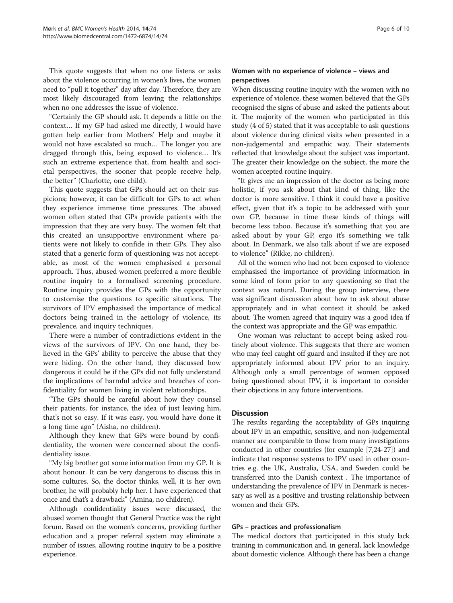This quote suggests that when no one listens or asks about the violence occurring in women's lives, the women need to "pull it together" day after day. Therefore, they are most likely discouraged from leaving the relationships when no one addresses the issue of violence.

"Certainly the GP should ask. It depends a little on the context… If my GP had asked me directly, I would have gotten help earlier from Mothers' Help and maybe it would not have escalated so much… The longer you are dragged through this, being exposed to violence… It's such an extreme experience that, from health and societal perspectives, the sooner that people receive help, the better" (Charlotte, one child).

This quote suggests that GPs should act on their suspicions; however, it can be difficult for GPs to act when they experience immense time pressures. The abused women often stated that GPs provide patients with the impression that they are very busy. The women felt that this created an unsupportive environment where patients were not likely to confide in their GPs. They also stated that a generic form of questioning was not acceptable, as most of the women emphasised a personal approach. Thus, abused women preferred a more flexible routine inquiry to a formalised screening procedure. Routine inquiry provides the GPs with the opportunity to customise the questions to specific situations. The survivors of IPV emphasised the importance of medical doctors being trained in the aetiology of violence, its prevalence, and inquiry techniques.

There were a number of contradictions evident in the views of the survivors of IPV. On one hand, they believed in the GPs' ability to perceive the abuse that they were hiding. On the other hand, they discussed how dangerous it could be if the GPs did not fully understand the implications of harmful advice and breaches of confidentiality for women living in violent relationships.

"The GPs should be careful about how they counsel their patients, for instance, the idea of just leaving him, that's not so easy. If it was easy, you would have done it a long time ago" (Aisha, no children).

Although they knew that GPs were bound by confidentiality, the women were concerned about the confidentiality issue.

"My big brother got some information from my GP. It is about honour. It can be very dangerous to discuss this in some cultures. So, the doctor thinks, well, it is her own brother, he will probably help her. I have experienced that once and that's a drawback" (Amina, no children).

Although confidentiality issues were discussed, the abused women thought that General Practice was the right forum. Based on the women's concerns, providing further education and a proper referral system may eliminate a number of issues, allowing routine inquiry to be a positive experience.

# Women with no experience of violence – views and perspectives

When discussing routine inquiry with the women with no experience of violence, these women believed that the GPs recognised the signs of abuse and asked the patients about it. The majority of the women who participated in this study (4 of 5) stated that it was acceptable to ask questions about violence during clinical visits when presented in a non-judgemental and empathic way. Their statements reflected that knowledge about the subject was important. The greater their knowledge on the subject, the more the women accepted routine inquiry.

"It gives me an impression of the doctor as being more holistic, if you ask about that kind of thing, like the doctor is more sensitive. I think it could have a positive effect, given that it's a topic to be addressed with your own GP, because in time these kinds of things will become less taboo. Because it's something that you are asked about by your GP, ergo it's something we talk about. In Denmark, we also talk about if we are exposed to violence" (Rikke, no children).

All of the women who had not been exposed to violence emphasised the importance of providing information in some kind of form prior to any questioning so that the context was natural. During the group interview, there was significant discussion about how to ask about abuse appropriately and in what context it should be asked about. The women agreed that inquiry was a good idea if the context was appropriate and the GP was empathic.

One woman was reluctant to accept being asked routinely about violence. This suggests that there are women who may feel caught off guard and insulted if they are not appropriately informed about IPV prior to an inquiry. Although only a small percentage of women opposed being questioned about IPV, it is important to consider their objections in any future interventions.

# **Discussion**

The results regarding the acceptability of GPs inquiring about IPV in an empathic, sensitive, and non-judgemental manner are comparable to those from many investigations conducted in other countries (for example [\[7](#page-8-0)[,24-27](#page-9-0)]) and indicate that response systems to IPV used in other countries e.g. the UK, Australia, USA, and Sweden could be transferred into the Danish context . The importance of understanding the prevalence of IPV in Denmark is necessary as well as a positive and trusting relationship between women and their GPs.

# GPs – practices and professionalism

The medical doctors that participated in this study lack training in communication and, in general, lack knowledge about domestic violence. Although there has been a change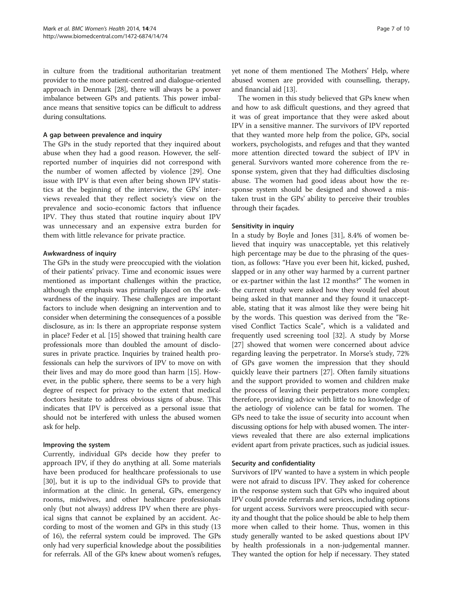in culture from the traditional authoritarian treatment provider to the more patient-centred and dialogue-oriented approach in Denmark [\[28\]](#page-9-0), there will always be a power imbalance between GPs and patients. This power imbalance means that sensitive topics can be difficult to address during consultations.

## A gap between prevalence and inquiry

The GPs in the study reported that they inquired about abuse when they had a good reason. However, the selfreported number of inquiries did not correspond with the number of women affected by violence [[29\]](#page-9-0). One issue with IPV is that even after being shown IPV statistics at the beginning of the interview, the GPs' interviews revealed that they reflect society's view on the prevalence and socio-economic factors that influence IPV. They thus stated that routine inquiry about IPV was unnecessary and an expensive extra burden for them with little relevance for private practice.

## Awkwardness of inquiry

The GPs in the study were preoccupied with the violation of their patients' privacy. Time and economic issues were mentioned as important challenges within the practice, although the emphasis was primarily placed on the awkwardness of the inquiry. These challenges are important factors to include when designing an intervention and to consider when determining the consequences of a possible disclosure, as in: Is there an appropriate response system in place? Feder et al. [\[15\]](#page-8-0) showed that training health care professionals more than doubled the amount of disclosures in private practice. Inquiries by trained health professionals can help the survivors of IPV to move on with their lives and may do more good than harm [\[15](#page-8-0)]. However, in the public sphere, there seems to be a very high degree of respect for privacy to the extent that medical doctors hesitate to address obvious signs of abuse. This indicates that IPV is perceived as a personal issue that should not be interfered with unless the abused women ask for help.

#### Improving the system

Currently, individual GPs decide how they prefer to approach IPV, if they do anything at all. Some materials have been produced for healthcare professionals to use [[30\]](#page-9-0), but it is up to the individual GPs to provide that information at the clinic. In general, GPs, emergency rooms, midwives, and other healthcare professionals only (but not always) address IPV when there are physical signs that cannot be explained by an accident. According to most of the women and GPs in this study (13 of 16), the referral system could be improved. The GPs only had very superficial knowledge about the possibilities for referrals. All of the GPs knew about women's refuges, yet none of them mentioned The Mothers' Help, where abused women are provided with counselling, therapy, and financial aid [\[13\]](#page-8-0).

The women in this study believed that GPs knew when and how to ask difficult questions, and they agreed that it was of great importance that they were asked about IPV in a sensitive manner. The survivors of IPV reported that they wanted more help from the police, GPs, social workers, psychologists, and refuges and that they wanted more attention directed toward the subject of IPV in general. Survivors wanted more coherence from the response system, given that they had difficulties disclosing abuse. The women had good ideas about how the response system should be designed and showed a mistaken trust in the GPs' ability to perceive their troubles through their façades.

## Sensitivity in inquiry

In a study by Boyle and Jones [\[31](#page-9-0)], 8.4% of women believed that inquiry was unacceptable, yet this relatively high percentage may be due to the phrasing of the question, as follows: "Have you ever been hit, kicked, pushed, slapped or in any other way harmed by a current partner or ex-partner within the last 12 months?" The women in the current study were asked how they would feel about being asked in that manner and they found it unacceptable, stating that it was almost like they were being hit by the words. This question was derived from the "Revised Conflict Tactics Scale", which is a validated and frequently used screening tool [[32\]](#page-9-0). A study by Morse [[27\]](#page-9-0) showed that women were concerned about advice regarding leaving the perpetrator. In Morse's study, 72% of GPs gave women the impression that they should quickly leave their partners [[27\]](#page-9-0). Often family situations and the support provided to women and children make the process of leaving their perpetrators more complex; therefore, providing advice with little to no knowledge of the aetiology of violence can be fatal for women. The GPs need to take the issue of security into account when discussing options for help with abused women. The interviews revealed that there are also external implications evident apart from private practices, such as judicial issues.

#### Security and confidentiality

Survivors of IPV wanted to have a system in which people were not afraid to discuss IPV. They asked for coherence in the response system such that GPs who inquired about IPV could provide referrals and services, including options for urgent access. Survivors were preoccupied with security and thought that the police should be able to help them more when called to their home. Thus, women in this study generally wanted to be asked questions about IPV by health professionals in a non-judgemental manner. They wanted the option for help if necessary. They stated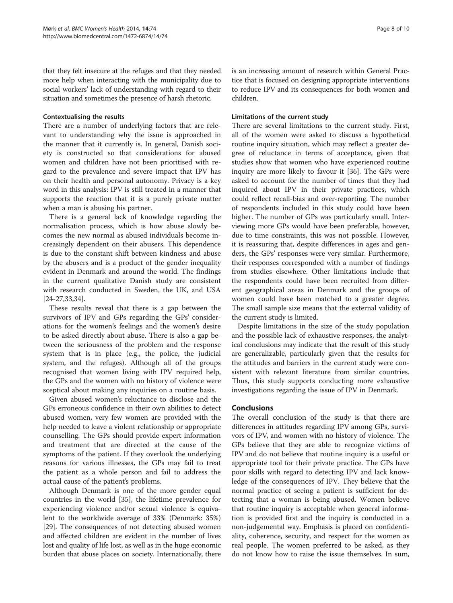that they felt insecure at the refuges and that they needed more help when interacting with the municipality due to social workers' lack of understanding with regard to their situation and sometimes the presence of harsh rhetoric.

#### Contextualising the results

There are a number of underlying factors that are relevant to understanding why the issue is approached in the manner that it currently is. In general, Danish society is constructed so that considerations for abused women and children have not been prioritised with regard to the prevalence and severe impact that IPV has on their health and personal autonomy. Privacy is a key word in this analysis: IPV is still treated in a manner that supports the reaction that it is a purely private matter when a man is abusing his partner.

There is a general lack of knowledge regarding the normalisation process, which is how abuse slowly becomes the new normal as abused individuals become increasingly dependent on their abusers. This dependence is due to the constant shift between kindness and abuse by the abusers and is a product of the gender inequality evident in Denmark and around the world. The findings in the current qualitative Danish study are consistent with research conducted in Sweden, the UK, and USA [[24-27,33,34\]](#page-9-0).

These results reveal that there is a gap between the survivors of IPV and GPs regarding the GPs' considerations for the women's feelings and the women's desire to be asked directly about abuse. There is also a gap between the seriousness of the problem and the response system that is in place (e.g., the police, the judicial system, and the refuges). Although all of the groups recognised that women living with IPV required help, the GPs and the women with no history of violence were sceptical about making any inquiries on a routine basis.

Given abused women's reluctance to disclose and the GPs erroneous confidence in their own abilities to detect abused women, very few women are provided with the help needed to leave a violent relationship or appropriate counselling. The GPs should provide expert information and treatment that are directed at the cause of the symptoms of the patient. If they overlook the underlying reasons for various illnesses, the GPs may fail to treat the patient as a whole person and fail to address the actual cause of the patient's problems.

Although Denmark is one of the more gender equal countries in the world [\[35](#page-9-0)], the lifetime prevalence for experiencing violence and/or sexual violence is equivalent to the worldwide average of 33% (Denmark: 35%) [[29\]](#page-9-0). The consequences of not detecting abused women and affected children are evident in the number of lives lost and quality of life lost, as well as in the huge economic burden that abuse places on society. Internationally, there is an increasing amount of research within General Practice that is focused on designing appropriate interventions to reduce IPV and its consequences for both women and children.

# Limitations of the current study

There are several limitations to the current study. First, all of the women were asked to discuss a hypothetical routine inquiry situation, which may reflect a greater degree of reluctance in terms of acceptance, given that studies show that women who have experienced routine inquiry are more likely to favour it [[36](#page-9-0)]. The GPs were asked to account for the number of times that they had inquired about IPV in their private practices, which could reflect recall-bias and over-reporting. The number of respondents included in this study could have been higher. The number of GPs was particularly small. Interviewing more GPs would have been preferable, however, due to time constraints, this was not possible. However, it is reassuring that, despite differences in ages and genders, the GPs' responses were very similar. Furthermore, their responses corresponded with a number of findings from studies elsewhere. Other limitations include that the respondents could have been recruited from different geographical areas in Denmark and the groups of women could have been matched to a greater degree. The small sample size means that the external validity of the current study is limited.

Despite limitations in the size of the study population and the possible lack of exhaustive responses, the analytical conclusions may indicate that the result of this study are generalizable, particularly given that the results for the attitudes and barriers in the current study were consistent with relevant literature from similar countries. Thus, this study supports conducting more exhaustive investigations regarding the issue of IPV in Denmark.

# Conclusions

The overall conclusion of the study is that there are differences in attitudes regarding IPV among GPs, survivors of IPV, and women with no history of violence. The GPs believe that they are able to recognize victims of IPV and do not believe that routine inquiry is a useful or appropriate tool for their private practice. The GPs have poor skills with regard to detecting IPV and lack knowledge of the consequences of IPV. They believe that the normal practice of seeing a patient is sufficient for detecting that a woman is being abused. Women believe that routine inquiry is acceptable when general information is provided first and the inquiry is conducted in a non-judgemental way. Emphasis is placed on confidentiality, coherence, security, and respect for the women as real people. The women preferred to be asked, as they do not know how to raise the issue themselves. In sum,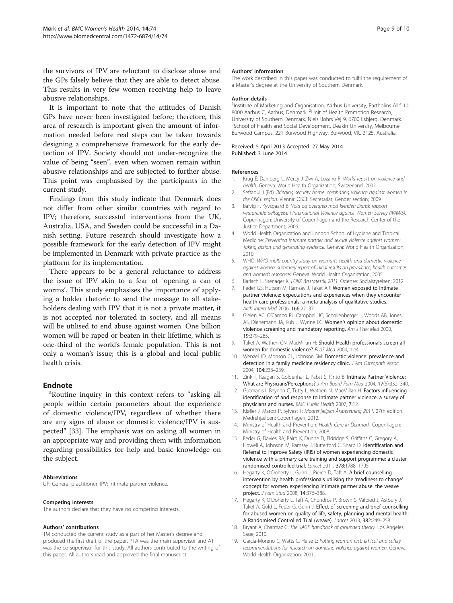<span id="page-8-0"></span>the survivors of IPV are reluctant to disclose abuse and the GPs falsely believe that they are able to detect abuse. This results in very few women receiving help to leave abusive relationships.

It is important to note that the attitudes of Danish GPs have never been investigated before; therefore, this area of research is important given the amount of information needed before real steps can be taken towards designing a comprehensive framework for the early detection of IPV. Society should not under-recognize the value of being "seen", even when women remain within abusive relationships and are subjected to further abuse. This point was emphasised by the participants in the current study.

Findings from this study indicate that Denmark does not differ from other similar countries with regard to IPV; therefore, successful interventions from the UK, Australia, USA, and Sweden could be successful in a Danish setting. Future research should investigate how a possible framework for the early detection of IPV might be implemented in Denmark with private practice as the platform for its implementation.

There appears to be a general reluctance to address the issue of IPV akin to a fear of 'opening a can of worms'. This study emphasises the importance of applying a bolder rhetoric to send the message to all stakeholders dealing with IPV that it is not a private matter, it is not accepted nor tolerated in society, and all means will be utilised to end abuse against women. One billion women will be raped or beaten in their lifetime, which is one-third of the world's female population. This is not only a woman's issue; this is a global and local public health crisis.

#### **Endnote**

Routine inquiry in this context refers to "asking all people within certain parameters about the experience of domestic violence/IPV, regardless of whether there are any signs of abuse or domestic violence/IPV is suspected" [[33\]](#page-9-0). The emphasis was on asking all women in an appropriate way and providing them with information regarding possibilities for help and basic knowledge on the subject.

#### Abbreviations

GP: General practitioner; IPV: Intimate partner violence.

#### Competing interests

The authors declare that they have no competing interests.

#### Authors' contributions

TM conducted the current study as a part of her Master's degree and produced the first draft of the paper. PTA was the main supervisor and AT was the co-supervisor for this study. All authors contributed to the writing of this paper. All authors read and approved the final manuscript.

#### Authors' information

The work described in this paper was conducted to fulfil the requirement of a Master's degree at the University of Southern Denmark.

#### Author details

<sup>1</sup>Institute of Marketing and Organisation, Aarhus University, Bartholins Allé 10 8000 Aarhus C, Aarhus, Denmark. <sup>2</sup>Unit of Health Promotion Research, University of Southern Denmark, Niels Bohrs Vej 9, 6700 Esbjerg, Denmark. <sup>3</sup>School of Health and Social Development, Deakin University, Melbourne Burwood Campus, 221 Burwood Highway, Burwood, VIC 3125, Australia.

#### Received: 5 April 2013 Accepted: 27 May 2014 Published: 3 June 2014

#### References

- 1. Krug E, Dahlberg L, Mercy J, Zwi A, Lozano R: World report on violence and health. Geneva: World Health Organization, Switzerland; 2002.
- 2. Seftaoui J (Ed): Bringing security home: combating violence against women in the OSCE region. Vienna: OSCE Secretariat, Gender section; 2009.
- 3. Balvig F, Kyvsgaard B: Vold og overgreb mod kvinder: Dansk rapport vedrørende deltagelse i International Violence against Women Survey (IVAWS). Copenhagen: University of Copenhagen and the Research Center of the Justice Department; 2006.
- 4. World Health Organization and London School of Hygiene and Tropical Medicine: Preventing intimate partner and sexual violence against women: Taking action and generating evidence. Geneva: World Health Organization; 2010.
- 5. WHO: WHO multi-country study on woman's health and domestic violence against women: summary report of initial results on prevalence, health outcomes and women's responses. Geneva: World Health Organization; 2005.
- 6. Barlach L, Stenager K: LOKK årsstatestik 2011. Odense: Socialstyrelsen; 2012.
- 7. Feder GS, Hutson M, Ramsay J, Taket AR: Women exposed to intimate partner violence: expectations and experiences when they encounter health care professionals: a meta-analysis of qualitative studies. Arch Intern Med 2006, 166:22–37.
- 8. Gielen AC, O'Campo PJ, Campbell JC, Schollenberger J, Woods AB, Jones AS, Dienemann JA, Kub J, Wynne EC: Women's opinion about domestic violence screening and mandatory reporting. Am J Prev Med 2000, 19:279–285.
- 9. Taket A, Wathen CN, MacMillan H: Should Health professionals screen all women for domestic violence? PLoS Med 2004, 1:e4
- 10. Wenzel JD, Monson CL, Johnson SM: Domestic violence: prevalence and detection in a family medicine residency clinic. J Am Osteopath Assoc 2004, 104:233–239.
- 11. Zink T, Reagan S, Goldenhar L, Pabst S, Rinto B: Intimate Partner Violence: What are Physicians'Perceptions? J Am Board Fam Med 2004, 17(5):332–340.
- 12. Gutmanis I, Beynon C, Tutty L, Wathen N, MacMillan H: Factors influencing identification of and response to intimate partner violence: a survey of physicians and nurses. BMC Public Health 2007, 7:12.
- 13. Kjøller J, Marott P, Sylvest T: Mødrehjælpen Årsberetning 2011. 27th edition. Mødrehjælpen: Copenhagen; 2012.
- 14. Ministry of Health and Prevention: Health Care in Denmark. Copenhagen: Ministry of Health and Prevention; 2008.
- 15. Feder G, Davies RA, Baird K, Dunne D, Eldridge S, Griffiths C, Gregory A, Howell A, Johnson M, Ramsay J, Rutterford C, Sharp D: Identification and Referral to Improve Safety (IRIS) of women experiencing domestic violence with a primary care training and support programme: a cluster randomised controlled trial. Lancet 2011, 378:1788–1795.
- 16. Hegarty K, O'Doherty L, Gunn J, Pierce D, Taft A: A brief counselling intervention by health professionals utilising the 'readiness to change' concept for women experiencing intimate partner abuse: the weave project. J Fam Stud 2008, 14:376–388.
- 17. Hegarty K, O'Doherty L, Taft A, Chondros P, Brown S, Valpied J, Astbury J, Taket A, Gold L, Feder G, Gunn J: Effect of screening and brief counselling for abused women on quality of life, safety, planning and mental health: A Randomised Controlled Trial (weave). Lancet 2013, 382:249–258.
- 18. Bryant A, Charmaz C: The SAGE handbook of grounded theory. Los Angeles: Sage; 2010.
- 19. Garcia-Moreno C, Watts C, Heise L: Putting woman first: ethical and safety recommendations for research on domestic violence against women. Geneva: World Health Organization; 2001.